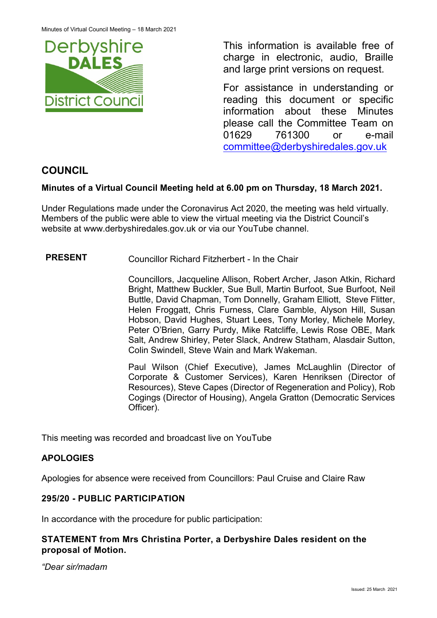

This information is available free of charge in electronic, audio, Braille and large print versions on request.

For assistance in understanding or reading this document or specific information about these Minutes please call the Committee Team on 01629 761300 or e-mail [committee@derbyshiredales.gov.uk](mailto:brian.evans@derbyshiredales.gov.uk) 

# **COUNCIL**

# **Minutes of a Virtual Council Meeting held at 6.00 pm on Thursday, 18 March 2021.**

Under Regulations made under the Coronavirus Act 2020, the meeting was held virtually. Members of the public were able to view the virtual meeting via the District Council's website at [www.derbyshiredales.gov.uk](http://www.derbyshiredales.gov.uk/) or via our YouTube channel.

#### **PRESENT** Councillor Richard Fitzherbert - In the Chair

Councillors, Jacqueline Allison, Robert Archer, Jason Atkin, Richard Bright, Matthew Buckler, Sue Bull, Martin Burfoot, Sue Burfoot, Neil Buttle, David Chapman, Tom Donnelly, Graham Elliott, Steve Flitter, Helen Froggatt, Chris Furness, Clare Gamble, Alyson Hill, Susan Hobson, David Hughes, Stuart Lees, Tony Morley, Michele Morley, Peter O'Brien, Garry Purdy, Mike Ratcliffe, Lewis Rose OBE, Mark Salt, Andrew Shirley, Peter Slack, Andrew Statham, Alasdair Sutton, Colin Swindell, Steve Wain and Mark Wakeman.

Paul Wilson (Chief Executive), James McLaughlin (Director of Corporate & Customer Services), Karen Henriksen (Director of Resources), Steve Capes (Director of Regeneration and Policy), Rob Cogings (Director of Housing), Angela Gratton (Democratic Services Officer).

This meeting was recorded and broadcast live on YouTube

#### **APOLOGIES**

Apologies for absence were received from Councillors: Paul Cruise and Claire Raw

#### **295/20 - PUBLIC PARTICIPATION**

In accordance with the procedure for public participation:

# **STATEMENT from Mrs Christina Porter, a Derbyshire Dales resident on the proposal of Motion.**

*"Dear sir/madam*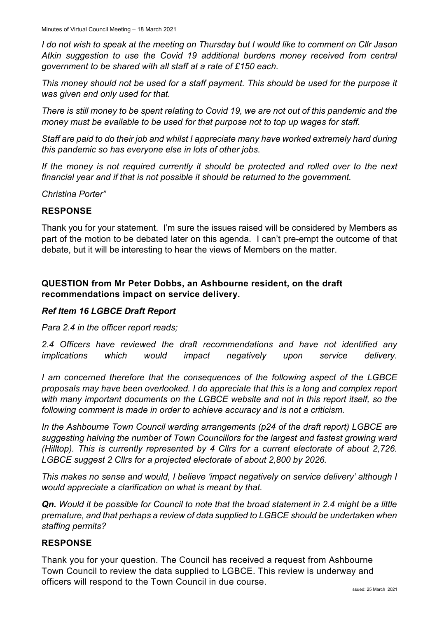*I do not wish to speak at the meeting on Thursday but I would like to comment on Cllr Jason Atkin suggestion to use the Covid 19 additional burdens money received from central government to be shared with all staff at a rate of £150 each.*

*This money should not be used for a staff payment. This should be used for the purpose it was given and only used for that.*

*There is still money to be spent relating to Covid 19, we are not out of this pandemic and the money must be available to be used for that purpose not to top up wages for staff.*

*Staff are paid to do their job and whilst I appreciate many have worked extremely hard during this pandemic so has everyone else in lots of other jobs.*

*If the money is not required currently it should be protected and rolled over to the next financial year and if that is not possible it should be returned to the government.*

*Christina Porter"*

#### **RESPONSE**

Thank you for your statement. I'm sure the issues raised will be considered by Members as part of the motion to be debated later on this agenda. I can't pre-empt the outcome of that debate, but it will be interesting to hear the views of Members on the matter.

# **QUESTION from Mr Peter Dobbs, an Ashbourne resident, on the draft recommendations impact on service delivery.**

#### *Ref Item 16 LGBCE Draft Report*

*Para 2.4 in the officer report reads;* 

*2.4 Officers have reviewed the draft recommendations and have not identified any implications which would impact negatively upon service delivery.*

*I am concerned therefore that the consequences of the following aspect of the LGBCE proposals may have been overlooked. I do appreciate that this is a long and complex report with many important documents on the LGBCE website and not in this report itself, so the following comment is made in order to achieve accuracy and is not a criticism.* 

*In the Ashbourne Town Council warding arrangements (p24 of the draft report) LGBCE are suggesting halving the number of Town Councillors for the largest and fastest growing ward (Hilltop). This is currently represented by 4 Cllrs for a current electorate of about 2,726. LGBCE suggest 2 Cllrs for a projected electorate of about 2,800 by 2026.*

*This makes no sense and would, I believe 'impact negatively on service delivery' although I would appreciate a clarification on what is meant by that.*

*Qn. Would it be possible for Council to note that the broad statement in 2.4 might be a little premature, and that perhaps a review of data supplied to LGBCE should be undertaken when staffing permits?*

#### **RESPONSE**

Thank you for your question. The Council has received a request from Ashbourne Town Council to review the data supplied to LGBCE. This review is underway and officers will respond to the Town Council in due course.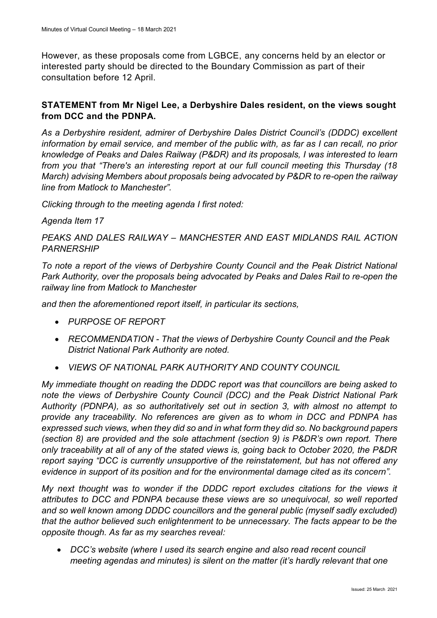However, as these proposals come from LGBCE, any concerns held by an elector or interested party should be directed to the Boundary Commission as part of their consultation before 12 April.

# **STATEMENT from Mr Nigel Lee, a Derbyshire Dales resident, on the views sought from DCC and the PDNPA.**

*As a Derbyshire resident, admirer of Derbyshire Dales District Council's (DDDC) excellent information by email service, and member of the public with, as far as I can recall, no prior knowledge of Peaks and Dales Railway (P&DR) and its proposals, I was interested to learn from you that "There's an interesting report at our full council meeting this Thursday (18 March) advising Members about proposals being advocated by P&DR to re-open the railway line from Matlock to Manchester".*

*Clicking through to the meeting agenda I first noted:*

*Agenda Item 17*

*PEAKS AND DALES RAILWAY – MANCHESTER AND EAST MIDLANDS RAIL ACTION PARNERSHIP*

*To note a report of the views of Derbyshire County Council and the Peak District National Park Authority, over the proposals being advocated by Peaks and Dales Rail to re-open the railway line from Matlock to Manchester*

*and then the aforementioned report itself, in particular its sections,*

- *PURPOSE OF REPORT*
- *RECOMMENDATION - That the views of Derbyshire County Council and the Peak District National Park Authority are noted.*
- *VIEWS OF NATIONAL PARK AUTHORITY AND COUNTY COUNCIL*

*My immediate thought on reading the DDDC report was that councillors are being asked to note the views of Derbyshire County Council (DCC) and the Peak District National Park Authority (PDNPA), as so authoritatively set out in section 3, with almost no attempt to provide any traceability. No references are given as to whom in DCC and PDNPA has expressed such views, when they did so and in what form they did so. No background papers (section 8) are provided and the sole attachment (section 9) is P&DR's own report. There only traceability at all of any of the stated views is, going back to October 2020, the P&DR report saying "DCC is currently unsupportive of the reinstatement, but has not offered any evidence in support of its position and for the environmental damage cited as its concern".*

*My next thought was to wonder if the DDDC report excludes citations for the views it attributes to DCC and PDNPA because these views are so unequivocal, so well reported and so well known among DDDC councillors and the general public (myself sadly excluded) that the author believed such enlightenment to be unnecessary. The facts appear to be the opposite though. As far as my searches reveal:*

 *DCC's website (where I used its search engine and also read recent council meeting agendas and minutes) is silent on the matter (it's hardly relevant that one*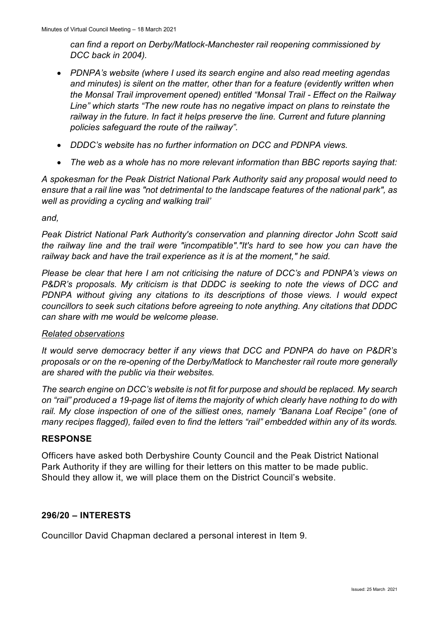*can find a report on Derby/Matlock-Manchester rail reopening commissioned by DCC back in 2004).*

- *PDNPA's website (where I used its search engine and also read meeting agendas and minutes) is silent on the matter, other than for a feature (evidently written when the Monsal Trail improvement opened) entitled "Monsal Trail - Effect on the Railway Line" which starts "The new route has no negative impact on plans to reinstate the*  railway in the future. In fact it helps preserve the line. Current and future planning *policies safeguard the route of the railway".*
- *DDDC's website has no further information on DCC and PDNPA views.*
- *The web as a whole has no more relevant information than BBC reports saying that:*

*A spokesman for the Peak District National Park Authority said any proposal would need to ensure that a rail line was "not detrimental to the landscape features of the national park", as well as providing a cycling and walking trail'*

*and,*

*Peak District National Park Authority's conservation and planning director John Scott said the railway line and the trail were "incompatible"."It's hard to see how you can have the railway back and have the trail experience as it is at the moment," he said.*

*Please be clear that here I am not criticising the nature of DCC's and PDNPA's views on P&DR's proposals. My criticism is that DDDC is seeking to note the views of DCC and PDNPA without giving any citations to its descriptions of those views. I would expect councillors to seek such citations before agreeing to note anything. Any citations that DDDC can share with me would be welcome please.*

#### *Related observations*

*It would serve democracy better if any views that DCC and PDNPA do have on P&DR's proposals or on the re-opening of the Derby/Matlock to Manchester rail route more generally are shared with the public via their websites.*

*The search engine on DCC's website is not fit for purpose and should be replaced. My search on "rail" produced a 19-page list of items the majority of which clearly have nothing to do with rail. My close inspection of one of the silliest ones, namely "Banana Loaf Recipe" (one of many recipes flagged), failed even to find the letters "rail" embedded within any of its words.*

#### **RESPONSE**

Officers have asked both Derbyshire County Council and the Peak District National Park Authority if they are willing for their letters on this matter to be made public. Should they allow it, we will place them on the District Council's website.

#### **296/20 – INTERESTS**

Councillor David Chapman declared a personal interest in Item 9.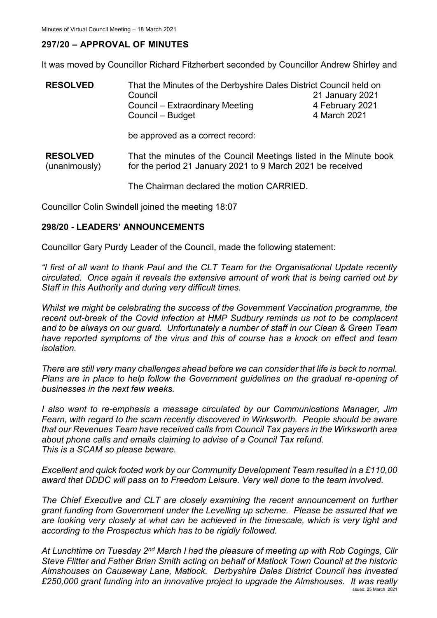#### **297/20 – APPROVAL OF MINUTES**

It was moved by Councillor Richard Fitzherbert seconded by Councillor Andrew Shirley and

| <b>RESOLVED</b>                  | That the Minutes of the Derbyshire Dales District Council held on<br>Council<br>Council - Extraordinary Meeting<br>Council - Budget | 21 January 2021<br>4 February 2021<br>4 March 2021 |
|----------------------------------|-------------------------------------------------------------------------------------------------------------------------------------|----------------------------------------------------|
|                                  | be approved as a correct record:                                                                                                    |                                                    |
| <b>RESOLVED</b><br>(unanimously) | That the minutes of the Council Meetings listed in the Minute book<br>for the period 21 January 2021 to 9 March 2021 be received    |                                                    |
|                                  | The Chairman declared the motion CARRIED.                                                                                           |                                                    |

Councillor Colin Swindell joined the meeting 18:07

#### **298/20 - LEADERS' ANNOUNCEMENTS**

Councillor Gary Purdy Leader of the Council, made the following statement:

*"I first of all want to thank Paul and the CLT Team for the Organisational Update recently circulated. Once again it reveals the extensive amount of work that is being carried out by Staff in this Authority and during very difficult times.*

*Whilst we might be celebrating the success of the Government Vaccination programme, the recent out-break of the Covid infection at HMP Sudbury reminds us not to be complacent and to be always on our guard. Unfortunately a number of staff in our Clean & Green Team have reported symptoms of the virus and this of course has a knock on effect and team isolation.*

*There are still very many challenges ahead before we can consider that life is back to normal. Plans are in place to help follow the Government guidelines on the gradual re-opening of businesses in the next few weeks.*

*I also want to re-emphasis a message circulated by our Communications Manager, Jim Fearn, with regard to the scam recently discovered in Wirksworth. People should be aware that our Revenues Team have received calls from Council Tax payers in the Wirksworth area about phone calls and emails claiming to advise of a Council Tax refund. This is a SCAM so please beware.*

*Excellent and quick footed work by our Community Development Team resulted in a £110,00 award that DDDC will pass on to Freedom Leisure. Very well done to the team involved.*

*The Chief Executive and CLT are closely examining the recent announcement on further grant funding from Government under the Levelling up scheme. Please be assured that we are looking very closely at what can be achieved in the timescale, which is very tight and according to the Prospectus which has to be rigidly followed.*

Issued: 25 March 2021 *At Lunchtime on Tuesday 2nd March I had the pleasure of meeting up with Rob Cogings, Cllr Steve Flitter and Father Brian Smith acting on behalf of Matlock Town Council at the historic Almshouses on Causeway Lane, Matlock. Derbyshire Dales District Council has invested £250,000 grant funding into an innovative project to upgrade the Almshouses. It was really*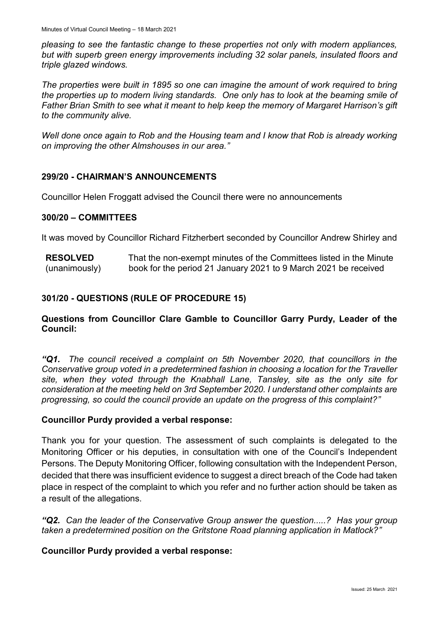*pleasing to see the fantastic change to these properties not only with modern appliances, but with superb green energy improvements including 32 solar panels, insulated floors and triple glazed windows.*

*The properties were built in 1895 so one can imagine the amount of work required to bring the properties up to modern living standards. One only has to look at the beaming smile of Father Brian Smith to see what it meant to help keep the memory of Margaret Harrison's gift to the community alive.*

*Well done once again to Rob and the Housing team and I know that Rob is already working on improving the other Almshouses in our area."*

# **299/20 - CHAIRMAN'S ANNOUNCEMENTS**

Councillor Helen Froggatt advised the Council there were no announcements

#### **300/20 – COMMITTEES**

It was moved by Councillor Richard Fitzherbert seconded by Councillor Andrew Shirley and

**RESOLVED** (unanimously) That the non-exempt minutes of the Committees listed in the Minute book for the period 21 January 2021 to 9 March 2021 be received

# **301/20 - QUESTIONS (RULE OF PROCEDURE 15)**

#### **Questions from Councillor Clare Gamble to Councillor Garry Purdy, Leader of the Council:**

*"Q1. The council received a complaint on 5th November 2020, that councillors in the Conservative group voted in a predetermined fashion in choosing a location for the Traveller site, when they voted through the Knabhall Lane, Tansley, site as the only site for consideration at the meeting held on 3rd September 2020. I understand other complaints are progressing, so could the council provide an update on the progress of this complaint?"*

#### **Councillor Purdy provided a verbal response:**

Thank you for your question. The assessment of such complaints is delegated to the Monitoring Officer or his deputies, in consultation with one of the Council's Independent Persons. The Deputy Monitoring Officer, following consultation with the Independent Person, decided that there was insufficient evidence to suggest a direct breach of the Code had taken place in respect of the complaint to which you refer and no further action should be taken as a result of the allegations.

*"Q2. Can the leader of the Conservative Group answer the question.....? Has your group taken a predetermined position on the Gritstone Road planning application in Matlock?"*

#### **Councillor Purdy provided a verbal response:**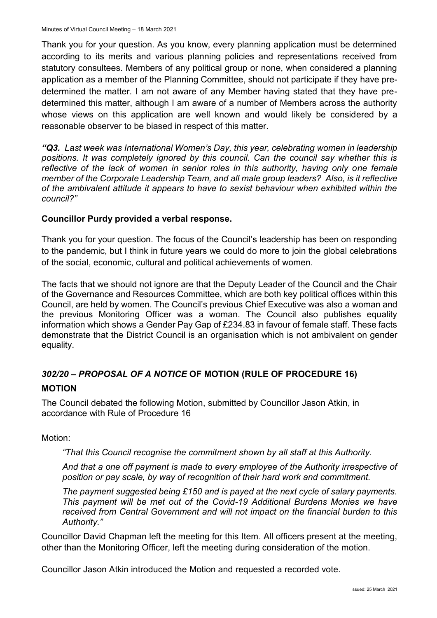Thank you for your question. As you know, every planning application must be determined according to its merits and various planning policies and representations received from statutory consultees. Members of any political group or none, when considered a planning application as a member of the Planning Committee, should not participate if they have predetermined the matter. I am not aware of any Member having stated that they have predetermined this matter, although I am aware of a number of Members across the authority whose views on this application are well known and would likely be considered by a reasonable observer to be biased in respect of this matter.

*"Q3. Last week was International Women's Day, this year, celebrating women in leadership*  positions. It was completely janored by this council. Can the council say whether this is reflective of the lack of women in senior roles in this authority, having only one female *member of the Corporate Leadership Team, and all male group leaders? Also, is it reflective of the ambivalent attitude it appears to have to sexist behaviour when exhibited within the council?"*

#### **Councillor Purdy provided a verbal response.**

Thank you for your question. The focus of the Council's leadership has been on responding to the pandemic, but I think in future years we could do more to join the global celebrations of the social, economic, cultural and political achievements of women.

The facts that we should not ignore are that the Deputy Leader of the Council and the Chair of the Governance and Resources Committee, which are both key political offices within this Council, are held by women. The Council's previous Chief Executive was also a woman and the previous Monitoring Officer was a woman. The Council also publishes equality information which shows a Gender Pay Gap of £234.83 in favour of female staff. These facts demonstrate that the District Council is an organisation which is not ambivalent on gender equality.

# *302/20 – PROPOSAL OF A NOTICE* **OF MOTION (RULE OF PROCEDURE 16)**

#### **MOTION**

The Council debated the following Motion, submitted by Councillor Jason Atkin, in accordance with Rule of Procedure 16

Motion:

*"That this Council recognise the commitment shown by all staff at this Authority.* 

*And that a one off payment is made to every employee of the Authority irrespective of position or pay scale, by way of recognition of their hard work and commitment.* 

*The payment suggested being £150 and is payed at the next cycle of salary payments. This payment will be met out of the Covid-19 Additional Burdens Monies we have received from Central Government and will not impact on the financial burden to this Authority."*

Councillor David Chapman left the meeting for this Item. All officers present at the meeting, other than the Monitoring Officer, left the meeting during consideration of the motion.

Councillor Jason Atkin introduced the Motion and requested a recorded vote.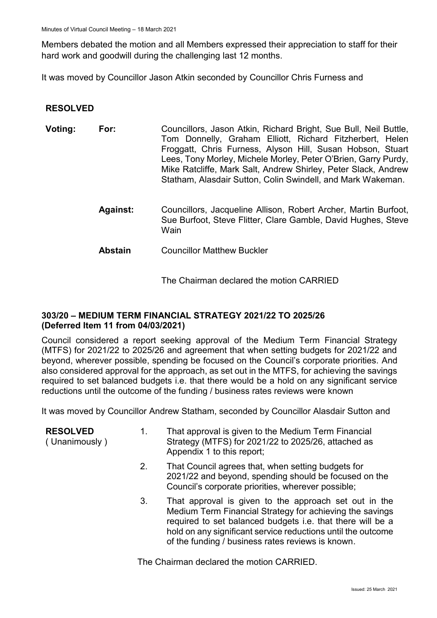Members debated the motion and all Members expressed their appreciation to staff for their hard work and goodwill during the challenging last 12 months.

It was moved by Councillor Jason Atkin seconded by Councillor Chris Furness and

# **RESOLVED**

| Voting: | For:            | Councillors, Jason Atkin, Richard Bright, Sue Bull, Neil Buttle,<br>Tom Donnelly, Graham Elliott, Richard Fitzherbert, Helen<br>Froggatt, Chris Furness, Alyson Hill, Susan Hobson, Stuart<br>Lees, Tony Morley, Michele Morley, Peter O'Brien, Garry Purdy,<br>Mike Ratcliffe, Mark Salt, Andrew Shirley, Peter Slack, Andrew<br>Statham, Alasdair Sutton, Colin Swindell, and Mark Wakeman. |
|---------|-----------------|-----------------------------------------------------------------------------------------------------------------------------------------------------------------------------------------------------------------------------------------------------------------------------------------------------------------------------------------------------------------------------------------------|
|         | <b>Against:</b> | Councillors, Jacqueline Allison, Robert Archer, Martin Burfoot,<br>Sue Burfoot, Steve Flitter, Clare Gamble, David Hughes, Steve<br>Wain                                                                                                                                                                                                                                                      |
|         | <b>Abstain</b>  | <b>Councillor Matthew Buckler</b>                                                                                                                                                                                                                                                                                                                                                             |

The Chairman declared the motion CARRIED

#### **303/20 – MEDIUM TERM FINANCIAL STRATEGY 2021/22 TO 2025/26 (Deferred Item 11 from 04/03/2021)**

Council considered a report seeking approval of the Medium Term Financial Strategy (MTFS) for 2021/22 to 2025/26 and agreement that when setting budgets for 2021/22 and beyond, wherever possible, spending be focused on the Council's corporate priorities. And also considered approval for the approach, as set out in the MTFS, for achieving the savings required to set balanced budgets i.e. that there would be a hold on any significant service reductions until the outcome of the funding / business rates reviews were known

It was moved by Councillor Andrew Statham, seconded by Councillor Alasdair Sutton and

| <b>RESOLVED</b><br>(Unanimously) | 1. | That approval is given to the Medium Term Financial<br>Strategy (MTFS) for 2021/22 to 2025/26, attached as<br>Appendix 1 to this report;                                                                                                                                                             |
|----------------------------------|----|------------------------------------------------------------------------------------------------------------------------------------------------------------------------------------------------------------------------------------------------------------------------------------------------------|
|                                  | 2. | That Council agrees that, when setting budgets for<br>2021/22 and beyond, spending should be focused on the<br>Council's corporate priorities, wherever possible;                                                                                                                                    |
|                                  | 3. | That approval is given to the approach set out in the<br>Medium Term Financial Strategy for achieving the savings<br>required to set balanced budgets i.e. that there will be a<br>hold on any significant service reductions until the outcome<br>of the funding / business rates reviews is known. |

The Chairman declared the motion CARRIED.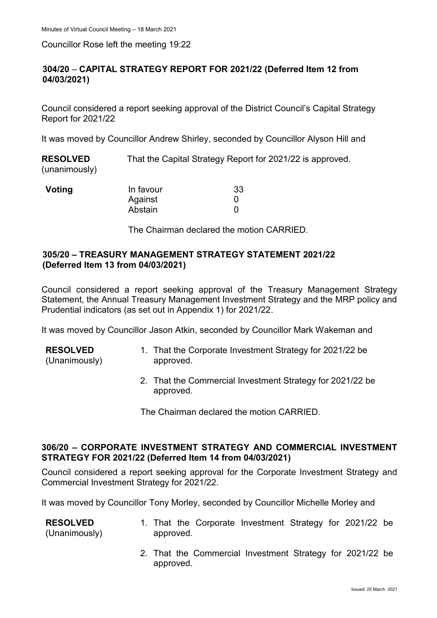Councillor Rose left the meeting 19:22

# **304/20** – **CAPITAL STRATEGY REPORT FOR 2021/22 (Deferred Item 12 from 04/03/2021)**

Council considered a report seeking approval of the District Council's Capital Strategy Report for 2021/22

It was moved by Councillor Andrew Shirley, seconded by Councillor Alyson Hill and

**RESOLVED** (unanimously) That the Capital Strategy Report for 2021/22 is approved.

| Voting | In favour | 33 |
|--------|-----------|----|
|        | Against   |    |
|        | Abstain   |    |

The Chairman declared the motion CARRIED.

#### **305/20 – TREASURY MANAGEMENT STRATEGY STATEMENT 2021/22 (Deferred Item 13 from 04/03/2021)**

Council considered a report seeking approval of the Treasury Management Strategy Statement, the Annual Treasury Management Investment Strategy and the MRP policy and Prudential indicators (as set out in Appendix 1) for 2021/22.

It was moved by Councillor Jason Atkin, seconded by Councillor Mark Wakeman and

| <b>RESOLVED</b> | 1. That the Corporate Investment Strategy for 2021/22 be |
|-----------------|----------------------------------------------------------|
| (Unanimously)   | approved.                                                |

2. That the Commercial Investment Strategy for 2021/22 be approved.

The Chairman declared the motion CARRIED.

#### **306/20 – CORPORATE INVESTMENT STRATEGY AND COMMERCIAL INVESTMENT STRATEGY FOR 2021/22 (Deferred Item 14 from 04/03/2021)**

Council considered a report seeking approval for the Corporate Investment Strategy and Commercial Investment Strategy for 2021/22.

It was moved by Councillor Tony Morley, seconded by Councillor Michelle Morley and

| <b>RESOLVED</b><br>(Unanimously) | approved. | 1. That the Corporate Investment Strategy for 2021/22 be  |  |  |
|----------------------------------|-----------|-----------------------------------------------------------|--|--|
|                                  | approved. | 2. That the Commercial Investment Strategy for 2021/22 be |  |  |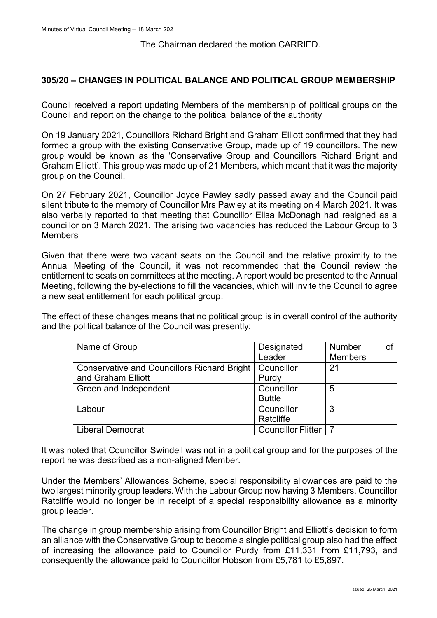The Chairman declared the motion CARRIED.

#### **305/20 – CHANGES IN POLITICAL BALANCE AND POLITICAL GROUP MEMBERSHIP**

Council received a report updating Members of the membership of political groups on the Council and report on the change to the political balance of the authority

On 19 January 2021, Councillors Richard Bright and Graham Elliott confirmed that they had formed a group with the existing Conservative Group, made up of 19 councillors. The new group would be known as the 'Conservative Group and Councillors Richard Bright and Graham Elliott'. This group was made up of 21 Members, which meant that it was the majority group on the Council.

On 27 February 2021, Councillor Joyce Pawley sadly passed away and the Council paid silent tribute to the memory of Councillor Mrs Pawley at its meeting on 4 March 2021. It was also verbally reported to that meeting that Councillor Elisa McDonagh had resigned as a councillor on 3 March 2021. The arising two vacancies has reduced the Labour Group to 3 Members

Given that there were two vacant seats on the Council and the relative proximity to the Annual Meeting of the Council, it was not recommended that the Council review the entitlement to seats on committees at the meeting. A report would be presented to the Annual Meeting, following the by-elections to fill the vacancies, which will invite the Council to agree a new seat entitlement for each political group.

The effect of these changes means that no political group is in overall control of the authority and the political balance of the Council was presently:

| Name of Group                                      | Designated                | Number         |  |
|----------------------------------------------------|---------------------------|----------------|--|
|                                                    | Leader                    | <b>Members</b> |  |
| <b>Conservative and Councillors Richard Bright</b> | Councillor                | 21             |  |
| and Graham Elliott                                 | Purdy                     |                |  |
| Green and Independent                              | Councillor                | 5              |  |
|                                                    | <b>Buttle</b>             |                |  |
| Labour                                             | Councillor                | 3              |  |
|                                                    | Ratcliffe                 |                |  |
| Liberal Democrat                                   | <b>Councillor Flitter</b> |                |  |

It was noted that Councillor Swindell was not in a political group and for the purposes of the report he was described as a non-aligned Member.

Under the Members' Allowances Scheme, special responsibility allowances are paid to the two largest minority group leaders. With the Labour Group now having 3 Members, Councillor Ratcliffe would no longer be in receipt of a special responsibility allowance as a minority group leader.

The change in group membership arising from Councillor Bright and Elliott's decision to form an alliance with the Conservative Group to become a single political group also had the effect of increasing the allowance paid to Councillor Purdy from £11,331 from £11,793, and consequently the allowance paid to Councillor Hobson from £5,781 to £5,897.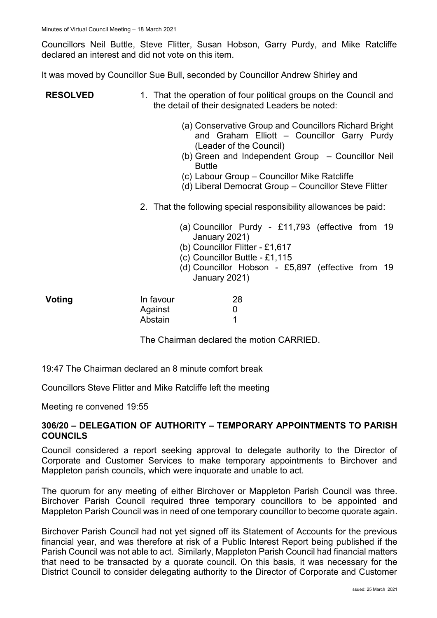Councillors Neil Buttle, Steve Flitter, Susan Hobson, Garry Purdy, and Mike Ratcliffe declared an interest and did not vote on this item.

It was moved by Councillor Sue Bull, seconded by Councillor Andrew Shirley and

#### **RESOLVED** 1. That the operation of four political groups on the Council and the detail of their designated Leaders be noted:

- (a) Conservative Group and Councillors Richard Bright and Graham Elliott – Councillor Garry Purdy (Leader of the Council)
- (b) Green and Independent Group Councillor Neil Buttle
- (c) Labour Group Councillor Mike Ratcliffe
- (d) Liberal Democrat Group Councillor Steve Flitter
- 2. That the following special responsibility allowances be paid:
	- (a) Councillor Purdy £11,793 (effective from 19 January 2021)
	- (b) Councillor Flitter £1,617
	- (c) Councillor Buttle £1,115
	- (d) Councillor Hobson £5,897 (effective from 19 January 2021)

| Voting | In favour | 28 |
|--------|-----------|----|
|        | Against   |    |
|        | Abstain   |    |

The Chairman declared the motion CARRIED.

19:47 The Chairman declared an 8 minute comfort break

Councillors Steve Flitter and Mike Ratcliffe left the meeting

Meeting re convened 19:55

#### **306/20 – DELEGATION OF AUTHORITY – TEMPORARY APPOINTMENTS TO PARISH COUNCILS**

Council considered a report seeking approval to delegate authority to the Director of Corporate and Customer Services to make temporary appointments to Birchover and Mappleton parish councils, which were inquorate and unable to act.

The quorum for any meeting of either Birchover or Mappleton Parish Council was three. Birchover Parish Council required three temporary councillors to be appointed and Mappleton Parish Council was in need of one temporary councillor to become quorate again.

Birchover Parish Council had not yet signed off its Statement of Accounts for the previous financial year, and was therefore at risk of a Public Interest Report being published if the Parish Council was not able to act. Similarly, Mappleton Parish Council had financial matters that need to be transacted by a quorate council. On this basis, it was necessary for the District Council to consider delegating authority to the Director of Corporate and Customer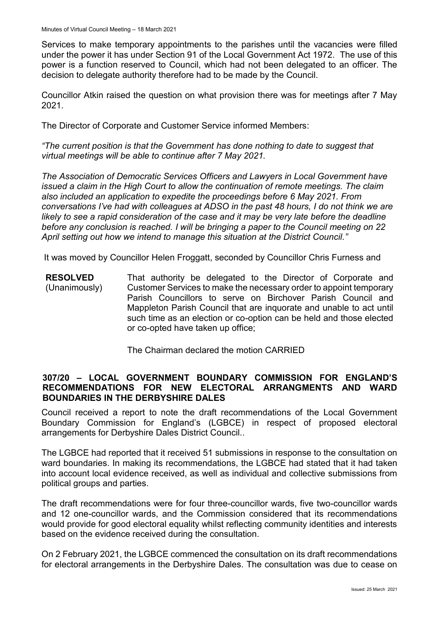Services to make temporary appointments to the parishes until the vacancies were filled under the power it has under Section 91 of the Local Government Act 1972. The use of this power is a function reserved to Council, which had not been delegated to an officer. The decision to delegate authority therefore had to be made by the Council.

Councillor Atkin raised the question on what provision there was for meetings after 7 May 2021.

The Director of Corporate and Customer Service informed Members:

*"The current position is that the Government has done nothing to date to suggest that virtual meetings will be able to continue after 7 May 2021.* 

*The Association of Democratic Services Officers and Lawyers in Local Government have issued a claim in the High Court to allow the continuation of remote meetings. The claim also included an application to expedite the proceedings before 6 May 2021. From conversations I've had with colleagues at ADSO in the past 48 hours, I do not think we are likely to see a rapid consideration of the case and it may be very late before the deadline before any conclusion is reached. I will be bringing a paper to the Council meeting on 22 April setting out how we intend to manage this situation at the District Council."*

It was moved by Councillor Helen Froggatt, seconded by Councillor Chris Furness and

**RESOLVED** (Unanimously) That authority be delegated to the Director of Corporate and Customer Services to make the necessary order to appoint temporary Parish Councillors to serve on Birchover Parish Council and Mappleton Parish Council that are inquorate and unable to act until such time as an election or co-option can be held and those elected or co-opted have taken up office;

The Chairman declared the motion CARRIED

#### **307/20 – LOCAL GOVERNMENT BOUNDARY COMMISSION FOR ENGLAND'S RECOMMENDATIONS FOR NEW ELECTORAL ARRANGMENTS AND WARD BOUNDARIES IN THE DERBYSHIRE DALES**

Council received a report to note the draft recommendations of the Local Government Boundary Commission for England's (LGBCE) in respect of proposed electoral arrangements for Derbyshire Dales District Council..

The LGBCE had reported that it received 51 submissions in response to the consultation on ward boundaries. In making its recommendations, the LGBCE had stated that it had taken into account local evidence received, as well as individual and collective submissions from political groups and parties.

The draft recommendations were for four three-councillor wards, five two-councillor wards and 12 one-councillor wards, and the Commission considered that its recommendations would provide for good electoral equality whilst reflecting community identities and interests based on the evidence received during the consultation.

On 2 February 2021, the LGBCE commenced the consultation on its draft recommendations for electoral arrangements in the Derbyshire Dales. The consultation was due to cease on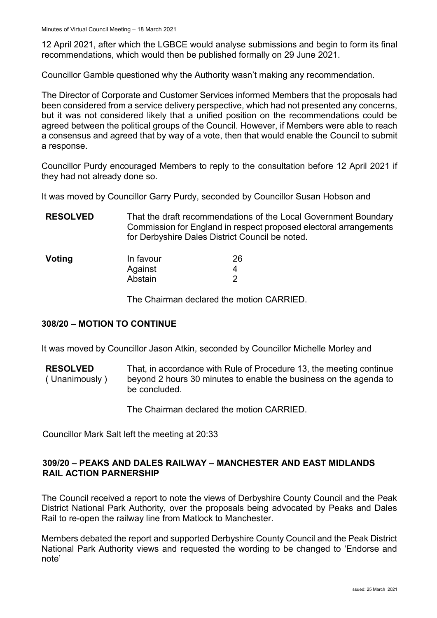12 April 2021, after which the LGBCE would analyse submissions and begin to form its final recommendations, which would then be published formally on 29 June 2021.

Councillor Gamble questioned why the Authority wasn't making any recommendation.

The Director of Corporate and Customer Services informed Members that the proposals had been considered from a service delivery perspective, which had not presented any concerns, but it was not considered likely that a unified position on the recommendations could be agreed between the political groups of the Council. However, if Members were able to reach a consensus and agreed that by way of a vote, then that would enable the Council to submit a response.

Councillor Purdy encouraged Members to reply to the consultation before 12 April 2021 if they had not already done so.

It was moved by Councillor Garry Purdy, seconded by Councillor Susan Hobson and

**RESOLVED** That the draft recommendations of the Local Government Boundary Commission for England in respect proposed electoral arrangements for Derbyshire Dales District Council be noted.

| Voting | In favour | 26 |
|--------|-----------|----|
|        | Against   |    |
|        | Abstain   |    |

The Chairman declared the motion CARRIED.

#### **308/20 – MOTION TO CONTINUE**

It was moved by Councillor Jason Atkin, seconded by Councillor Michelle Morley and

**RESOLVED** ( Unanimously ) That, in accordance with Rule of Procedure 13, the meeting continue beyond 2 hours 30 minutes to enable the business on the agenda to be concluded.

The Chairman declared the motion CARRIED.

Councillor Mark Salt left the meeting at 20:33

#### **309/20 – PEAKS AND DALES RAILWAY – MANCHESTER AND EAST MIDLANDS RAIL ACTION PARNERSHIP**

The Council received a report to note the views of Derbyshire County Council and the Peak District National Park Authority, over the proposals being advocated by Peaks and Dales Rail to re-open the railway line from Matlock to Manchester.

Members debated the report and supported Derbyshire County Council and the Peak District National Park Authority views and requested the wording to be changed to 'Endorse and note'